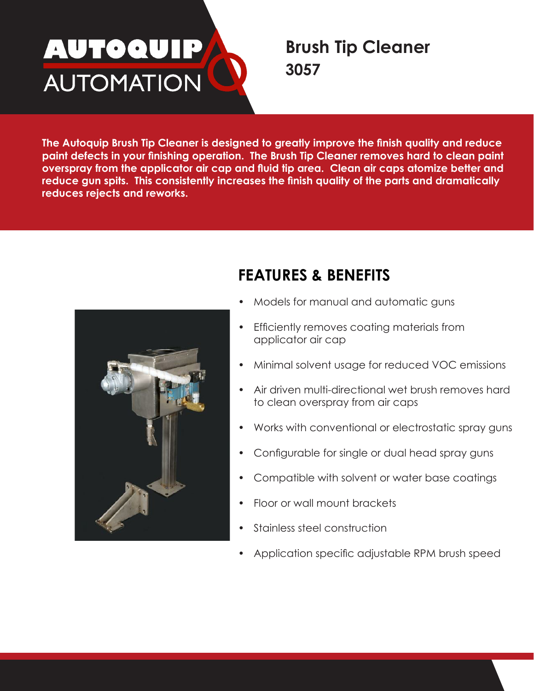# <u>AUTOQUIP</u> **AUTOMATION**

## **Brush Tip Cleaner 3057**

**The Autoquip Brush Tip Cleaner is designed to greatly improve the finish quality and reduce paint defects in your finishing operation. The Brush Tip Cleaner removes hard to clean paint overspray from the applicator air cap and fluid tip area. Clean air caps atomize better and reduce gun spits. This consistently increases the finish quality of the parts and dramatically reduces rejects and reworks.**



# **FEATURES & BENEFITS**

- Models for manual and automatic guns
- Efficiently removes coating materials from applicator air cap
- Minimal solvent usage for reduced VOC emissions
- Air driven multi-directional wet brush removes hard to clean overspray from air caps
- Works with conventional or electrostatic spray guns
- Configurable for single or dual head spray guns
- Compatible with solvent or water base coatings
- Floor or wall mount brackets
- Stainless steel construction
- Application specific adjustable RPM brush speed